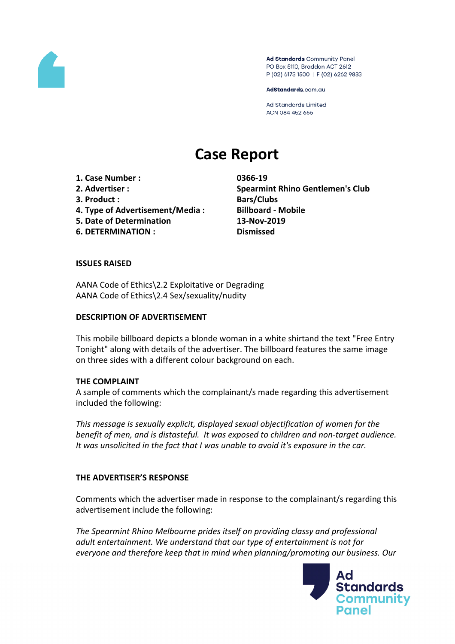

Ad Standards Community Panel PO Box 5110, Braddon ACT 2612 P (02) 6173 1500 | F (02) 6262 9833

AdStandards.com.au

**Ad Standards Limited** ACN 084 452 666

# **Case Report**

**1. Case Number : 0366-19**

- 
- **3. Product : Bars/Clubs**
- **4. Type of Advertisement/Media : Billboard - Mobile**
- **5. Date of Determination 13-Nov-2019**
- **6. DETERMINATION : Dismissed**

**2. Advertiser : Spearmint Rhino Gentlemen's Club**

## **ISSUES RAISED**

AANA Code of Ethics\2.2 Exploitative or Degrading AANA Code of Ethics\2.4 Sex/sexuality/nudity

#### **DESCRIPTION OF ADVERTISEMENT**

This mobile billboard depicts a blonde woman in a white shirtand the text "Free Entry Tonight" along with details of the advertiser. The billboard features the same image on three sides with a different colour background on each.

#### **THE COMPLAINT**

A sample of comments which the complainant/s made regarding this advertisement included the following:

*This message is sexually explicit, displayed sexual objectification of women for the benefit of men, and is distasteful. It was exposed to children and non-target audience. It was unsolicited in the fact that I was unable to avoid it's exposure in the car.*

# **THE ADVERTISER'S RESPONSE**

Comments which the advertiser made in response to the complainant/s regarding this advertisement include the following:

*The Spearmint Rhino Melbourne prides itself on providing classy and professional adult entertainment. We understand that our type of entertainment is not for everyone and therefore keep that in mind when planning/promoting our business. Our*

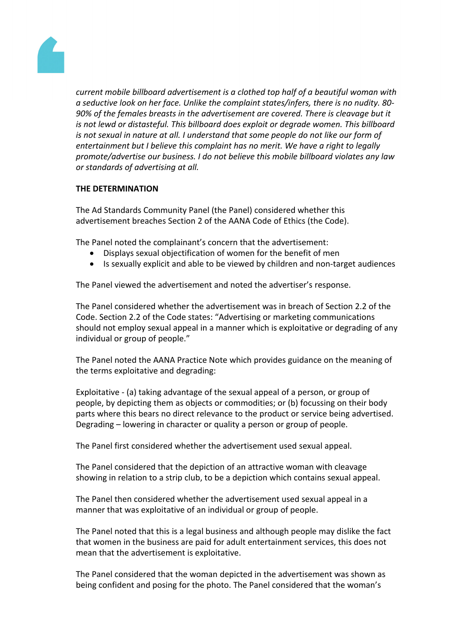

*current mobile billboard advertisement is a clothed top half of a beautiful woman with a seductive look on her face. Unlike the complaint states/infers, there is no nudity. 80- 90% of the females breasts in the advertisement are covered. There is cleavage but it is not lewd or distasteful. This billboard does exploit or degrade women. This billboard is not sexual in nature at all. I understand that some people do not like our form of entertainment but I believe this complaint has no merit. We have a right to legally promote/advertise our business. I do not believe this mobile billboard violates any law or standards of advertising at all.*

## **THE DETERMINATION**

The Ad Standards Community Panel (the Panel) considered whether this advertisement breaches Section 2 of the AANA Code of Ethics (the Code).

The Panel noted the complainant's concern that the advertisement:

- Displays sexual objectification of women for the benefit of men
- Is sexually explicit and able to be viewed by children and non-target audiences

The Panel viewed the advertisement and noted the advertiser's response.

The Panel considered whether the advertisement was in breach of Section 2.2 of the Code. Section 2.2 of the Code states: "Advertising or marketing communications should not employ sexual appeal in a manner which is exploitative or degrading of any individual or group of people."

The Panel noted the AANA Practice Note which provides guidance on the meaning of the terms exploitative and degrading:

Exploitative - (a) taking advantage of the sexual appeal of a person, or group of people, by depicting them as objects or commodities; or (b) focussing on their body parts where this bears no direct relevance to the product or service being advertised. Degrading – lowering in character or quality a person or group of people.

The Panel first considered whether the advertisement used sexual appeal.

The Panel considered that the depiction of an attractive woman with cleavage showing in relation to a strip club, to be a depiction which contains sexual appeal.

The Panel then considered whether the advertisement used sexual appeal in a manner that was exploitative of an individual or group of people.

The Panel noted that this is a legal business and although people may dislike the fact that women in the business are paid for adult entertainment services, this does not mean that the advertisement is exploitative.

The Panel considered that the woman depicted in the advertisement was shown as being confident and posing for the photo. The Panel considered that the woman's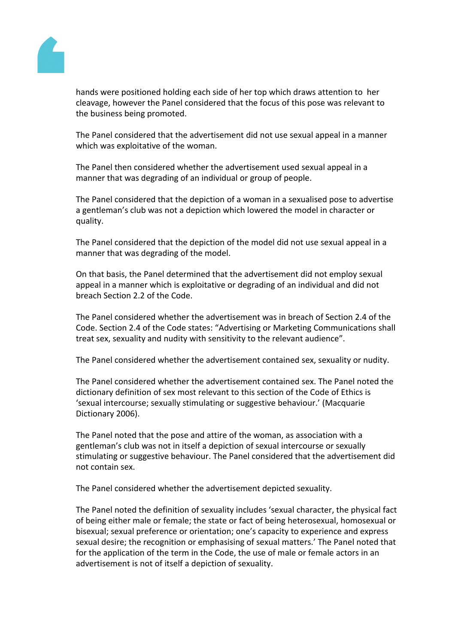

hands were positioned holding each side of her top which draws attention to her cleavage, however the Panel considered that the focus of this pose was relevant to the business being promoted.

The Panel considered that the advertisement did not use sexual appeal in a manner which was exploitative of the woman.

The Panel then considered whether the advertisement used sexual appeal in a manner that was degrading of an individual or group of people.

The Panel considered that the depiction of a woman in a sexualised pose to advertise a gentleman's club was not a depiction which lowered the model in character or quality.

The Panel considered that the depiction of the model did not use sexual appeal in a manner that was degrading of the model.

On that basis, the Panel determined that the advertisement did not employ sexual appeal in a manner which is exploitative or degrading of an individual and did not breach Section 2.2 of the Code.

The Panel considered whether the advertisement was in breach of Section 2.4 of the Code. Section 2.4 of the Code states: "Advertising or Marketing Communications shall treat sex, sexuality and nudity with sensitivity to the relevant audience".

The Panel considered whether the advertisement contained sex, sexuality or nudity.

The Panel considered whether the advertisement contained sex. The Panel noted the dictionary definition of sex most relevant to this section of the Code of Ethics is 'sexual intercourse; sexually stimulating or suggestive behaviour.' (Macquarie Dictionary 2006).

The Panel noted that the pose and attire of the woman, as association with a gentleman's club was not in itself a depiction of sexual intercourse or sexually stimulating or suggestive behaviour. The Panel considered that the advertisement did not contain sex.

The Panel considered whether the advertisement depicted sexuality.

The Panel noted the definition of sexuality includes 'sexual character, the physical fact of being either male or female; the state or fact of being heterosexual, homosexual or bisexual; sexual preference or orientation; one's capacity to experience and express sexual desire; the recognition or emphasising of sexual matters.' The Panel noted that for the application of the term in the Code, the use of male or female actors in an advertisement is not of itself a depiction of sexuality.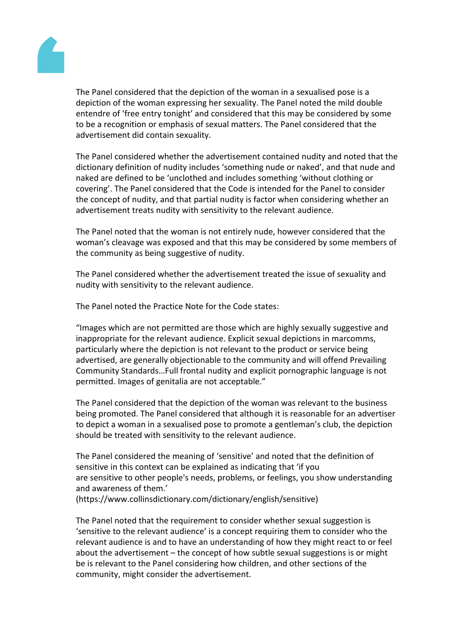

The Panel considered that the depiction of the woman in a sexualised pose is a depiction of the woman expressing her sexuality. The Panel noted the mild double entendre of 'free entry tonight' and considered that this may be considered by some to be a recognition or emphasis of sexual matters. The Panel considered that the advertisement did contain sexuality.

The Panel considered whether the advertisement contained nudity and noted that the dictionary definition of nudity includes 'something nude or naked', and that nude and naked are defined to be 'unclothed and includes something 'without clothing or covering'. The Panel considered that the Code is intended for the Panel to consider the concept of nudity, and that partial nudity is factor when considering whether an advertisement treats nudity with sensitivity to the relevant audience.

The Panel noted that the woman is not entirely nude, however considered that the woman's cleavage was exposed and that this may be considered by some members of the community as being suggestive of nudity.

The Panel considered whether the advertisement treated the issue of sexuality and nudity with sensitivity to the relevant audience.

The Panel noted the Practice Note for the Code states:

"Images which are not permitted are those which are highly sexually suggestive and inappropriate for the relevant audience. Explicit sexual depictions in marcomms, particularly where the depiction is not relevant to the product or service being advertised, are generally objectionable to the community and will offend Prevailing Community Standards…Full frontal nudity and explicit pornographic language is not permitted. Images of genitalia are not acceptable."

The Panel considered that the depiction of the woman was relevant to the business being promoted. The Panel considered that although it is reasonable for an advertiser to depict a woman in a sexualised pose to promote a gentleman's club, the depiction should be treated with sensitivity to the relevant audience.

The Panel considered the meaning of 'sensitive' and noted that the definition of sensitive in this context can be explained as indicating that 'if you are sensitive to other people's needs, problems, or feelings, you show understanding and awareness of them.'

(https://www.collinsdictionary.com/dictionary/english/sensitive)

The Panel noted that the requirement to consider whether sexual suggestion is 'sensitive to the relevant audience' is a concept requiring them to consider who the relevant audience is and to have an understanding of how they might react to or feel about the advertisement – the concept of how subtle sexual suggestions is or might be is relevant to the Panel considering how children, and other sections of the community, might consider the advertisement.